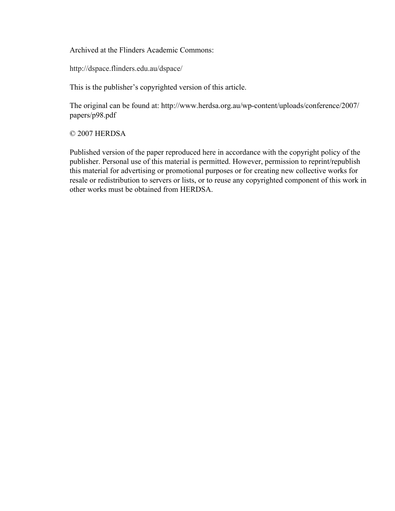Archived at the Flinders Academic Commons:

http://dspace.flinders.edu.au/dspace/

This is the publisher's copyrighted version of this article.

The original can be found at: http://www.herdsa.org.au/wp-content/uploads/conference/2007/ papers/p98.pdf

#### © 2007 HERDSA

Published version of the paper reproduced here in accordance with the copyright policy of the publisher. Personal use of this material is permitted. However, permission to reprint/republish this material for advertising or promotional purposes or for creating new collective works for resale or redistribution to servers or lists, or to reuse any copyrighted component of this work in other works must be obtained from HERDSA.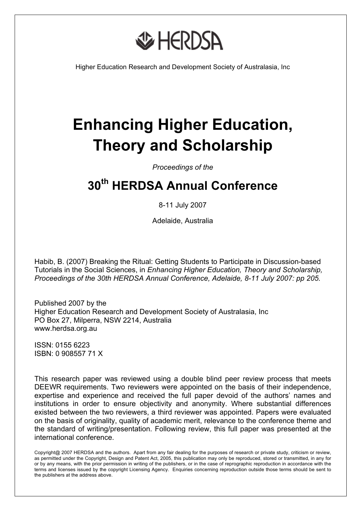

Higher Education Research and Development Society of Australasia, Inc

# **Enhancing Higher Education, Theory and Scholarship**

*Proceedings of the* 

# **30th HERDSA Annual Conference**

#### 8-11 July 2007

Adelaide, Australia

Habib, B. (2007) Breaking the Ritual: Getting Students to Participate in Discussion-based Tutorials in the Social Sciences, in *Enhancing Higher Education, Theory and Scholarship, Proceedings of the 30th HERDSA Annual Conference, Adelaide, 8-11 July 2007: pp 205.* 

Published 2007 by the Higher Education Research and Development Society of Australasia, Inc PO Box 27, Milperra, NSW 2214, Australia www.herdsa.org.au

ISSN: 0155 6223 ISBN: 0 908557 71 X

This research paper was reviewed using a double blind peer review process that meets DEEWR requirements. Two reviewers were appointed on the basis of their independence, expertise and experience and received the full paper devoid of the authors' names and institutions in order to ensure objectivity and anonymity. Where substantial differences existed between the two reviewers, a third reviewer was appointed. Papers were evaluated on the basis of originality, quality of academic merit, relevance to the conference theme and the standard of writing/presentation. Following review, this full paper was presented at the international conference.

Copyright@ 2007 HERDSA and the authors. Apart from any fair dealing for the purposes of research or private study, criticism or review, as permitted under the Copyright, Design and Patent Act, 2005, this publication may only be reproduced, stored or transmitted, in any for or by any means, with the prior permission in writing of the publishers, or in the case of reprographic reproduction in accordance with the terms and licenses issued by the copyright Licensing Agency. Enquiries concerning reproduction outside those terms should be sent to the publishers at the address above.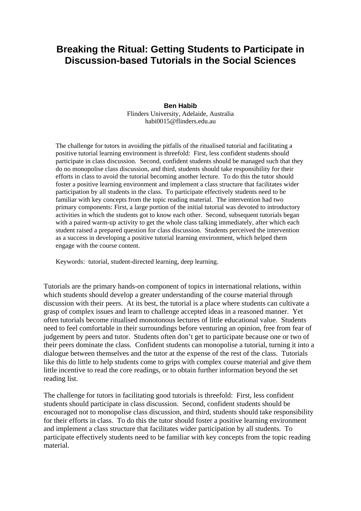# **Breaking the Ritual: Getting Students to Participate in Discussion-based Tutorials in the Social Sciences**

#### **Ben Habib**

Flinders University, Adelaide, Australia habi0015@flinders.edu.au

The challenge for tutors in avoiding the pitfalls of the ritualised tutorial and facilitating a positive tutorial learning environment is threefold: First, less confident students should participate in class discussion. Second, confident students should be managed such that they do no monopolise class discussion, and third, students should take responsibility for their efforts in class to avoid the tutorial becoming another lecture. To do this the tutor should foster a positive learning environment and implement a class structure that facilitates wider participation by all students in the class. To participate effectively students need to be familiar with key concepts from the topic reading material. The intervention had two primary components: First, a large portion of the initial tutorial was devoted to introductory activities in which the students got to know each other. Second, subsequent tutorials began with a paired warm-up activity to get the whole class talking immediately, after which each student raised a prepared question for class discussion. Students perceived the intervention as a success in developing a positive tutorial learning environment, which helped them engage with the course content.

Keywords: tutorial, student-directed learning, deep learning.

Tutorials are the primary hands-on component of topics in international relations, within which students should develop a greater understanding of the course material through discussion with their peers. At its best, the tutorial is a place where students can cultivate a grasp of complex issues and learn to challenge accepted ideas in a reasoned manner. Yet often tutorials become ritualised monotonous lectures of little educational value. Students need to feel comfortable in their surroundings before venturing an opinion, free from fear of judgement by peers and tutor. Students often don't get to participate because one or two of their peers dominate the class. Confident students can monopolise a tutorial, turning it into a dialogue between themselves and the tutor at the expense of the rest of the class. Tutorials like this do little to help students come to grips with complex course material and give them little incentive to read the core readings, or to obtain further information beyond the set reading list.

The challenge for tutors in facilitating good tutorials is threefold: First, less confident students should participate in class discussion. Second, confident students should be encouraged not to monopolise class discussion, and third, students should take responsibility for their efforts in class. To do this the tutor should foster a positive learning environment and implement a class structure that facilitates wider participation by all students. To participate effectively students need to be familiar with key concepts from the topic reading material.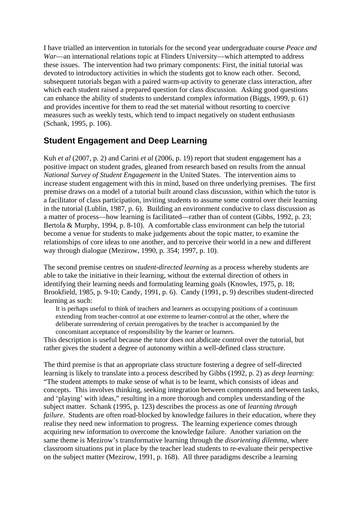I have trialled an intervention in tutorials for the second year undergraduate course *Peace and War*—an international relations topic at Flinders University—which attempted to address these issues. The intervention had two primary components: First, the initial tutorial was devoted to introductory activities in which the students got to know each other. Second, subsequent tutorials began with a paired warm-up activity to generate class interaction, after which each student raised a prepared question for class discussion. Asking good questions can enhance the ability of students to understand complex information (Biggs, 1999, p. 61) and provides incentive for them to read the set material without resorting to coercive measures such as weekly tests, which tend to impact negatively on student enthusiasm (Schank, 1995, p. 106).

## **Student Engagement and Deep Learning**

Kuh *et al* (2007, p. 2) and Carini *et al* (2006, p. 19) report that student engagement has a positive impact on student grades, gleaned from research based on results from the annual *National Survey of Student Engagement* in the United States. The intervention aims to increase student engagement with this in mind, based on three underlying premises. The first premise draws on a model of a tutorial built around class discussion, within which the tutor is a facilitator of class participation, inviting students to assume some control over their learning in the tutorial (Lublin, 1987, p. 6). Building an environment conducive to class discussion as a matter of process—how learning is facilitated—rather than of content (Gibbs, 1992, p. 23; Bertola & Murphy, 1994, p. 8-10). A comfortable class environment can help the tutorial become a venue for students to make judgements about the topic matter, to examine the relationships of core ideas to one another, and to perceive their world in a new and different way through dialogue (Mezirow, 1990, p. 354; 1997, p. 10).

The second premise centres on *student-directed learning* as a process whereby students are able to take the initiative in their learning, without the external direction of others in identifying their learning needs and formulating learning goals (Knowles, 1975, p. 18; Brookfield, 1985, p. 9-10; Candy, 1991, p. 6). Candy (1991, p. 9) describes student-directed learning as such:

It is perhaps useful to think of teachers and learners as occupying positions of a continuum extending from teacher-control at one extreme to learner-control at the other, where the deliberate surrendering of certain prerogatives by the teacher is accompanied by the concomitant acceptance of responsibility by the learner or learners.

This description is useful because the tutor does not abdicate control over the tutorial, but rather gives the student a degree of autonomy within a well-defined class structure.

The third premise is that an appropriate class structure fostering a degree of self-directed learning is likely to translate into a process described by Gibbs (1992, p. 2) as *deep learning*: "The student attempts to make sense of what is to be learnt, which consists of ideas and concepts. This involves thinking, seeking integration between components and between tasks, and 'playing' with ideas," resulting in a more thorough and complex understanding of the subject matter. Schank (1995, p. 123) describes the process as one of *learning through failure*. Students are often road-blocked by knowledge failures in their education, where they realise they need new information to progress. The learning experience comes through acquiring new information to overcome the knowledge failure. Another variation on the same theme is Mezirow's transformative learning through the *disorienting dilemma*, where classroom situations put in place by the teacher lead students to re-evaluate their perspective on the subject matter (Mezirow, 1991, p. 168). All three paradigms describe a learning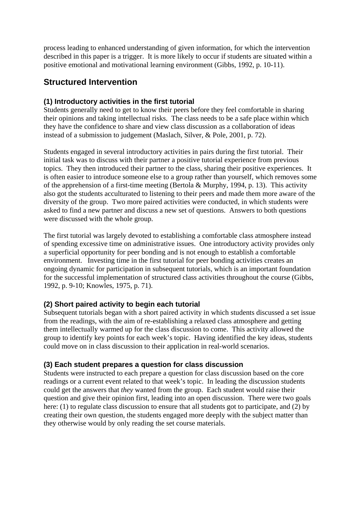process leading to enhanced understanding of given information, for which the intervention described in this paper is a trigger. It is more likely to occur if students are situated within a positive emotional and motivational learning environment (Gibbs, 1992, p. 10-11).

## **Structured Intervention**

#### **(1) Introductory activities in the first tutorial**

Students generally need to get to know their peers before they feel comfortable in sharing their opinions and taking intellectual risks. The class needs to be a safe place within which they have the confidence to share and view class discussion as a collaboration of ideas instead of a submission to judgement (Maslach, Silver, & Pole, 2001, p. 72).

Students engaged in several introductory activities in pairs during the first tutorial. Their initial task was to discuss with their partner a positive tutorial experience from previous topics. They then introduced their partner to the class, sharing their positive experiences. It is often easier to introduce someone else to a group rather than yourself, which removes some of the apprehension of a first-time meeting (Bertola & Murphy, 1994, p. 13). This activity also got the students acculturated to listening to their peers and made them more aware of the diversity of the group. Two more paired activities were conducted, in which students were asked to find a new partner and discuss a new set of questions. Answers to both questions were discussed with the whole group.

The first tutorial was largely devoted to establishing a comfortable class atmosphere instead of spending excessive time on administrative issues. One introductory activity provides only a superficial opportunity for peer bonding and is not enough to establish a comfortable environment. Investing time in the first tutorial for peer bonding activities creates an ongoing dynamic for participation in subsequent tutorials, which is an important foundation for the successful implementation of structured class activities throughout the course (Gibbs, 1992, p. 9-10; Knowles, 1975, p. 71).

#### **(2) Short paired activity to begin each tutorial**

Subsequent tutorials began with a short paired activity in which students discussed a set issue from the readings, with the aim of re-establishing a relaxed class atmosphere and getting them intellectually warmed up for the class discussion to come. This activity allowed the group to identify key points for each week's topic. Having identified the key ideas, students could move on in class discussion to their application in real-world scenarios.

#### **(3) Each student prepares a question for class discussion**

Students were instructed to each prepare a question for class discussion based on the core readings or a current event related to that week's topic. In leading the discussion students could get the answers that *they* wanted from the group. Each student would raise their question and give their opinion first, leading into an open discussion. There were two goals here: (1) to regulate class discussion to ensure that all students got to participate, and (2) by creating their own question, the students engaged more deeply with the subject matter than they otherwise would by only reading the set course materials.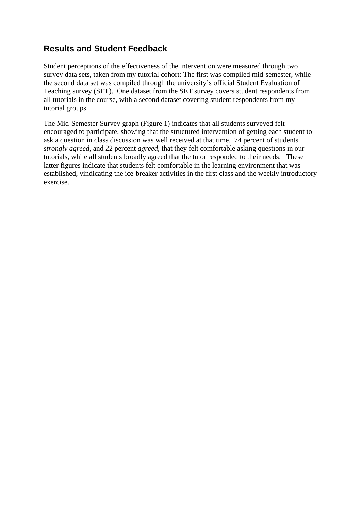# **Results and Student Feedback**

Student perceptions of the effectiveness of the intervention were measured through two survey data sets, taken from my tutorial cohort: The first was compiled mid-semester, while the second data set was compiled through the university's official Student Evaluation of Teaching survey (SET). One dataset from the SET survey covers student respondents from all tutorials in the course, with a second dataset covering student respondents from my tutorial groups.

The Mid-Semester Survey graph (Figure 1) indicates that all students surveyed felt encouraged to participate, showing that the structured intervention of getting each student to ask a question in class discussion was well received at that time. 74 percent of students *strongly agreed*, and 22 percent *agreed*, that they felt comfortable asking questions in our tutorials, while all students broadly agreed that the tutor responded to their needs. These latter figures indicate that students felt comfortable in the learning environment that was established, vindicating the ice-breaker activities in the first class and the weekly introductory exercise.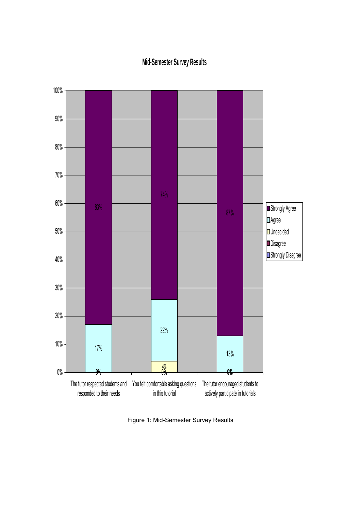# **Mid-Semester Survey Results**



Figure 1: Mid-Semester Survey Results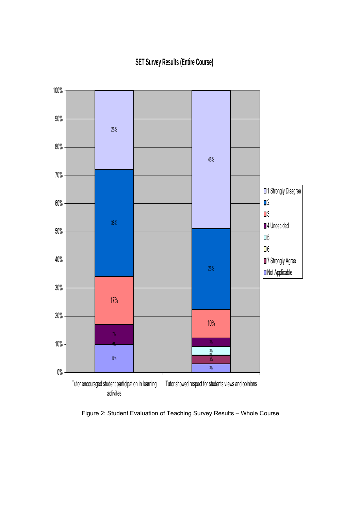# **SET Survey Results (Entire Course)**



Figure 2: Student Evaluation of Teaching Survey Results – Whole Course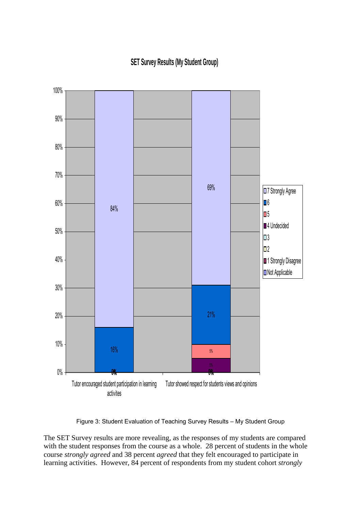**SET Survey Results (My Student Group)**



Figure 3: Student Evaluation of Teaching Survey Results – My Student Group

The SET Survey results are more revealing, as the responses of my students are compared with the student responses from the course as a whole. 28 percent of students in the whole course *strongly agreed* and 38 percent *agreed* that they felt encouraged to participate in learning activities. However, 84 percent of respondents from my student cohort *strongly*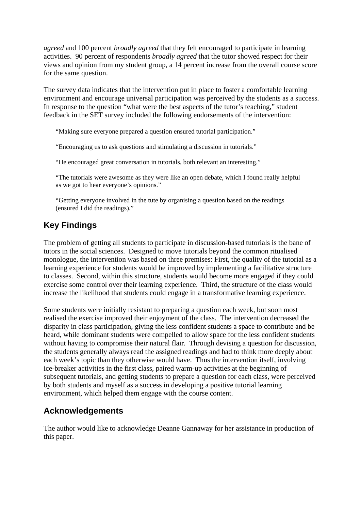*agreed* and 100 percent *broadly agreed* that they felt encouraged to participate in learning activities. 90 percent of respondents *broadly agreed* that the tutor showed respect for their views and opinion from my student group, a 14 percent increase from the overall course score for the same question.

The survey data indicates that the intervention put in place to foster a comfortable learning environment and encourage universal participation was perceived by the students as a success. In response to the question "what were the best aspects of the tutor's teaching," student feedback in the SET survey included the following endorsements of the intervention:

"Making sure everyone prepared a question ensured tutorial participation."

"Encouraging us to ask questions and stimulating a discussion in tutorials."

"He encouraged great conversation in tutorials, both relevant an interesting."

"The tutorials were awesome as they were like an open debate, which I found really helpful as we got to hear everyone's opinions."

"Getting everyone involved in the tute by organising a question based on the readings (ensured I did the readings)."

# **Key Findings**

The problem of getting all students to participate in discussion-based tutorials is the bane of tutors in the social sciences. Designed to move tutorials beyond the common ritualised monologue, the intervention was based on three premises: First, the quality of the tutorial as a learning experience for students would be improved by implementing a facilitative structure to classes. Second, within this structure, students would become more engaged if they could exercise some control over their learning experience. Third, the structure of the class would increase the likelihood that students could engage in a transformative learning experience.

Some students were initially resistant to preparing a question each week, but soon most realised the exercise improved their enjoyment of the class. The intervention decreased the disparity in class participation, giving the less confident students a space to contribute and be heard, while dominant students were compelled to allow space for the less confident students without having to compromise their natural flair. Through devising a question for discussion, the students generally always read the assigned readings and had to think more deeply about each week's topic than they otherwise would have. Thus the intervention itself, involving ice-breaker activities in the first class, paired warm-up activities at the beginning of subsequent tutorials, and getting students to prepare a question for each class, were perceived by both students and myself as a success in developing a positive tutorial learning environment, which helped them engage with the course content.

# **Acknowledgements**

The author would like to acknowledge Deanne Gannaway for her assistance in production of this paper.